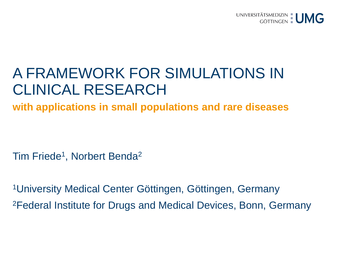

# A FRAMEWORK FOR SIMULATIONS IN CLINICAL RESEARCH

**with applications in small populations and rare diseases**

Tim Friede<sup>1</sup>, Norbert Benda<sup>2</sup>

1University Medical Center Göttingen, Göttingen, Germany 2Federal Institute for Drugs and Medical Devices, Bonn, Germany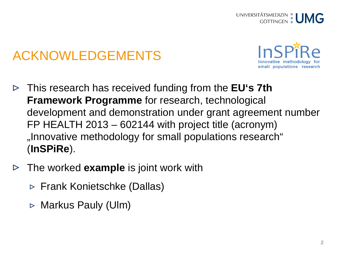# ACKNOWLEDGEMENTS



- This research has received funding from the **EU's 7th Framework Programme** for research, technological development and demonstration under grant agreement number FP HEALTH 2013 – 602144 with project title (acronym) "Innovative methodology for small populations research" (**InSPiRe**).
- The worked **example** is joint work with
	- $\triangleright$  Frank Konietschke (Dallas)
	- $\triangleright$  Markus Pauly (Ulm)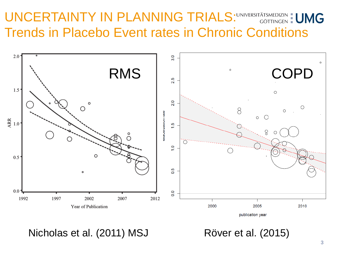### UNCERTAINTY IN PLANNING TRIALS: UNIVERSITÄTSMEDIZIN : UMG Trends in Placebo Event rates in Chronic Conditions



publication year

Nicholas et al. (2011) MSJ Röver et al. (2015)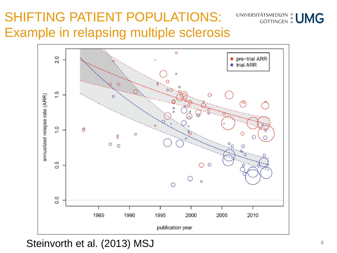## SHIFTING PATIENT POPULATIONS: Example in relapsing multiple sclerosis



Steinvorth et al. (2013) MSJ

UNIVERSITÄTSMEDIZIN | UMG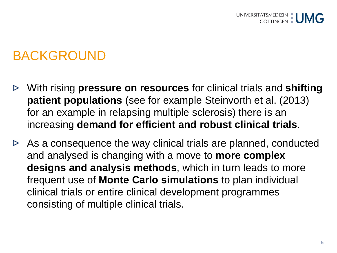### BACKGROUND

- With rising **pressure on resources** for clinical trials and **shifting patient populations** (see for example Steinvorth et al. (2013) for an example in relapsing multiple sclerosis) there is an increasing **demand for efficient and robust clinical trials**.
- $\triangleright$  As a consequence the way clinical trials are planned, conducted and analysed is changing with a move to **more complex designs and analysis methods**, which in turn leads to more frequent use of **Monte Carlo simulations** to plan individual clinical trials or entire clinical development programmes consisting of multiple clinical trials.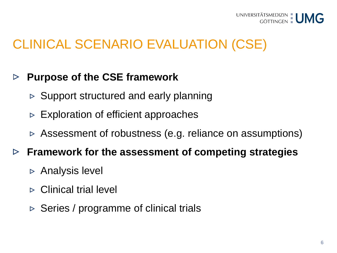

### CLINICAL SCENARIO EVALUATION (CSE)

#### **Purpose of the CSE framework**  $\triangleright$

- $\triangleright$  Support structured and early planning
- $\triangleright$  Exploration of efficient approaches
- $\triangleright$  Assessment of robustness (e.g. reliance on assumptions)

#### **Framework for the assessment of competing strategies**  $\triangleright$

- $\triangleright$  Analysis level
- $\triangleright$  Clinical trial level
- $\triangleright$  Series / programme of clinical trials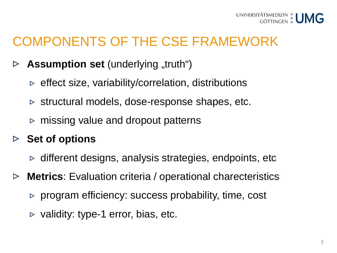### COMPONENTS OF THE CSE FRAMEWORK

- **Assumption set** (underlying "truth")  $\triangleright$ 
	- $\triangleright$  effect size, variability/correlation, distributions
	- $\triangleright$  structural models, dose-response shapes, etc.
	- $\triangleright$  missing value and dropout patterns

#### **Set of options**  $\triangleright$

- $\triangleright$  different designs, analysis strategies, endpoints, etc
- **Metrics**: Evaluation criteria / operational charecteristics  $\triangleright$ 
	- $\triangleright$  program efficiency: success probability, time, cost
	- $\triangleright$  validity: type-1 error, bias, etc.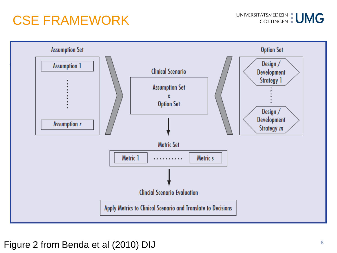### CSE FRAMEWORK



### Figure 2 from Benda et al (2010) DIJ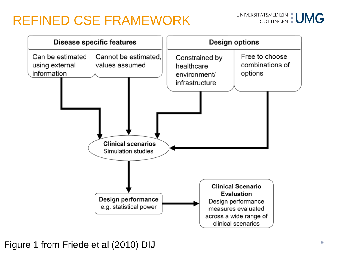### REFINED CSE FRAMEWORK





**<sup>9</sup>** Figure 1 from Friede et al (2010) DIJ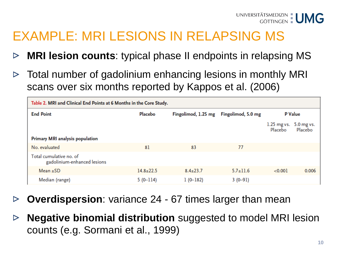## EXAMPLE: MRI LESIONS IN RELAPSING MS

- **MRI lesion counts**: typical phase II endpoints in relapsing MS  $\triangleright$
- Total number of gadolinium enhancing lesions in monthly MRI  $\triangleright$ scans over six months reported by Kappos et al. (2006)

| Table 2. MRI and Clinical End Points at 6 Months in the Core Study. |                 |                     |                    |                          |                       |
|---------------------------------------------------------------------|-----------------|---------------------|--------------------|--------------------------|-----------------------|
| <b>End Point</b>                                                    | Placebo         | Fingolimod, 1.25 mg | Fingolimod, 5.0 mg | <b>P</b> Value           |                       |
|                                                                     |                 |                     |                    | $1.25$ mg vs.<br>Placebo | 5.0 mg vs.<br>Placebo |
| <b>Primary MRI analysis population</b>                              |                 |                     |                    |                          |                       |
| No. evaluated                                                       | 81              | 83                  | 77                 |                          |                       |
| Total cumulative no. of<br>gadolinium-enhanced lesions              |                 |                     |                    |                          |                       |
| Mean $\pm$ SD                                                       | $14.8 \pm 22.5$ | $8.4 \pm 23.7$      | $5.7 \pm 11.6$     | < 0.001                  | 0.006                 |
| Median (range)                                                      | $5(0-114)$      | $1(0-182)$          | $3(0-91)$          |                          |                       |

- **Overdispersion**: variance 24 67 times larger than mean  $\triangleright$
- **Negative binomial distribution** suggested to model MRI lesion  $\triangleright$ counts (e.g. Sormani et al., 1999)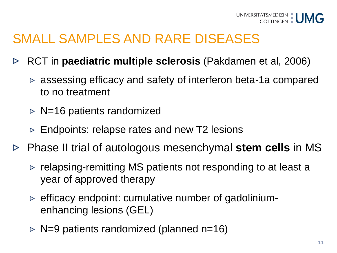### SMALL SAMPLES AND RARE DISEASES

- RCT in **paediatric multiple sclerosis** (Pakdamen et al, 2006)  $\triangleright$ 
	- $\triangleright$  assessing efficacy and safety of interferon beta-1a compared to no treatment
	- $\triangleright$  N=16 patients randomized
	- $\triangleright$  Endpoints: relapse rates and new T2 lesions
- Phase II trial of autologous mesenchymal **stem cells** in MS
	- $\triangleright$  relapsing-remitting MS patients not responding to at least a year of approved therapy
	- $\triangleright$  efficacy endpoint: cumulative number of gadoliniumenhancing lesions (GEL)
	- $\triangleright$  N=9 patients randomized (planned n=16)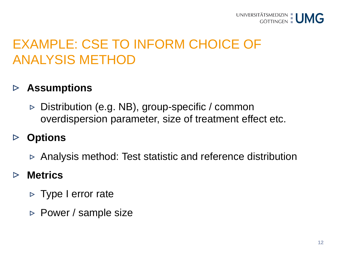

### EXAMPLE: CSE TO INFORM CHOICE OF ANALYSIS METHOD

#### **Assumptions**  $\triangleright$

 $\triangleright$  Distribution (e.g. NB), group-specific / common overdispersion parameter, size of treatment effect etc.

#### **Options**  $\triangleright$

Analysis method: Test statistic and reference distribution

#### **Metrics**  $\triangleright$

- $\triangleright$  Type I error rate
- $\triangleright$  Power / sample size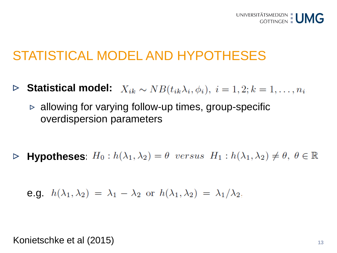### STATISTICAL MODEL AND HYPOTHESES

- **Statistical model:**  $X_{ik} \sim NB(t_{ik}\lambda_i, \phi_i), i = 1, 2; k = 1, \ldots, n_i$  $\triangleright$ 
	- $\triangleright$  allowing for varying follow-up times, group-specific overdispersion parameters

**Hypotheses:**  $H_0: h(\lambda_1, \lambda_2) = \theta$  versus  $H_1: h(\lambda_1, \lambda_2) \neq \theta, \ \theta \in \mathbb{R}$  $\triangleright$ 

$$
e.g. h(\lambda_1, \lambda_2) = \lambda_1 - \lambda_2 \text{ or } h(\lambda_1, \lambda_2) = \lambda_1/\lambda_2,
$$

Konietschke et al (2015)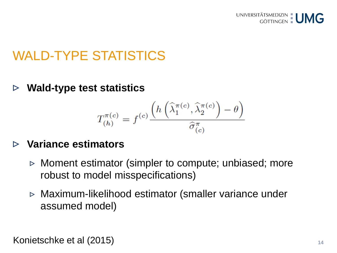

### WALD-TYPE STATISTICS

**Wald-type test statistics**  $\triangleright$ 

$$
T_{(h)}^{\pi(c)} = f^{(c)} \frac{\left(h\left(\widehat{\lambda}_1^{\pi(c)}, \widehat{\lambda}_2^{\pi(c)}\right) - \theta\right)}{\widehat{\sigma}_{(c)}^{\pi}}
$$

### **Variance estimators**

- $\triangleright$  Moment estimator (simpler to compute; unbiased; more robust to model misspecifications)
- Maximum-likelihood estimator (smaller variance under assumed model)

Konietschke et al (2015)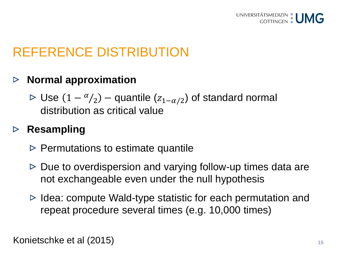

## REFERENCE DISTRIBUTION

#### **Normal approximation**  $\triangleright$

 $\triangleright$  Use (1 –  $\alpha/2$ ) – quantile ( $z_{1-\alpha/2}$ ) of standard normal distribution as critical value

#### **Resampling**  $\triangleright$

- $\triangleright$  Permutations to estimate quantile
- $\triangleright$  Due to overdispersion and varying follow-up times data are not exchangeable even under the null hypothesis
- $\triangleright$  Idea: compute Wald-type statistic for each permutation and repeat procedure several times (e.g. 10,000 times)

Konietschke et al (2015)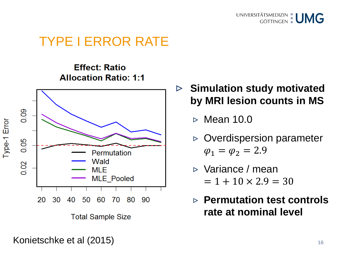

### TYPE I ERROR RATE

**Effect: Ratio Allocation Ratio: 1:1** 



**Total Sample Size** 

### **Simulation study motivated**   $\triangleright$ **by MRI lesion counts in MS**

- $\triangleright$  Mean 10.0
- $\triangleright$  Overdispersion parameter  $\varphi_1 = \varphi_2 = 2.9$
- Variance / mean  $= 1 + 10 \times 2.9 = 30$
- **Permutation test controls rate at nominal level**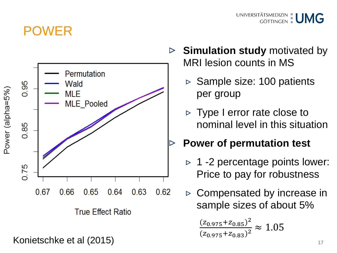### POWER



Konietschke et al (2015)

**Simulation study motivated by**  $\triangleright$ MRI lesion counts in MS

UNIVERSITÄTSMEDIZIN : UMG

- $\triangleright$  Sample size: 100 patients per group
- $\triangleright$  Type I error rate close to nominal level in this situation

### **Power of permutation test**

- $\triangleright$  1 -2 percentage points lower: Price to pay for robustness
- $\triangleright$  Compensated by increase in sample sizes of about 5%

$$
\frac{(z_{0.975} + z_{0.85})^2}{(z_{0.975} + z_{0.83})^2} \approx 1.05
$$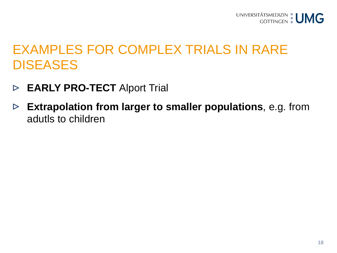### EXAMPLES FOR COMPLEX TRIALS IN RARE **DISEASES**

- **EARLY PRO-TECT** Alport Trial  $\triangleright$
- **Extrapolation from larger to smaller populations**, e.g. from  $\triangleright$ adutls to children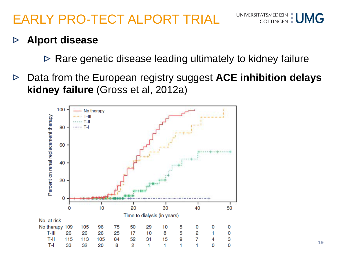# EARLY PRO-TECT ALPORT TRIAL



#### **Alport disease**  $\triangleright$

- $\triangleright$  Rare genetic disease leading ultimately to kidney failure
- Data from the European registry suggest **ACE inhibition delays**   $\triangleright$ **kidney failure** (Gross et al, 2012a)

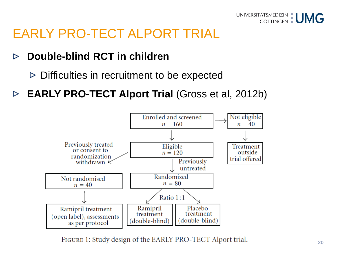

### EARLY PRO-TECT ALPORT TRIAL

#### **Double-blind RCT in children**   $\triangleright$

- $\triangleright$  Difficulties in recruitment to be expected
- **EARLY PRO-TECT Alport Trial** (Gross et al, 2012b)  $\triangleright$



FIGURE 1: Study design of the EARLY PRO-TECT Alport trial.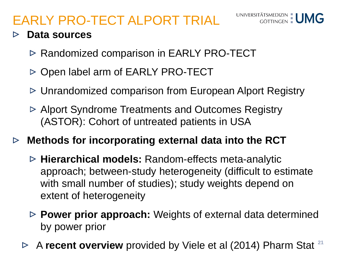## EARLY PRO-TECT ALPORT TRIAL



### **Data sources**

- $\triangleright$  Randomized comparison in EARLY PRO-TECT
- **▷ Open label arm of EARLY PRO-TECT**
- Unrandomized comparison from European Alport Registry
- Alport Syndrome Treatments and Outcomes Registry (ASTOR): Cohort of untreated patients in USA
- **Methods for incorporating external data into the RCT**  $\triangleright$ 
	- **Hierarchical models:** Random-effects meta-analytic approach; between-study heterogeneity (difficult to estimate with small number of studies); study weights depend on extent of heterogeneity
	- **Power prior approach:** Weights of external data determined by power prior
	- **21** A **recent overview** provided by Viele et al (2014) Pharm Stat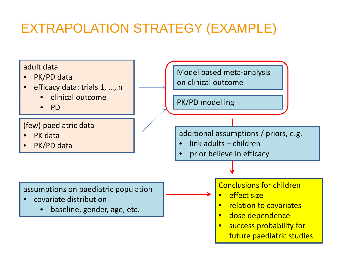# EXTRAPOLATION STRATEGY (EXAMPLE)

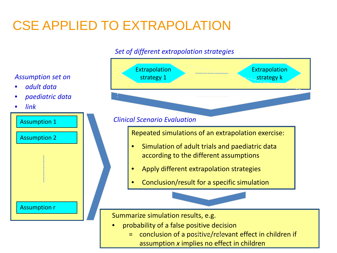# CSE APPLIED TO EXTRAPOLATION

### *Set of different extrapolation strategies*



### *Assumption set on*

- *adult data*
- *paediatric data*
- *link*

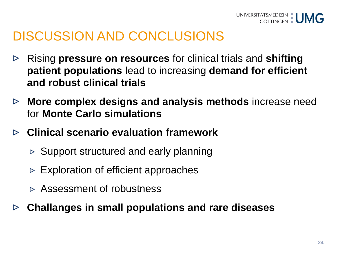## DISCUSSION AND CONCLUSIONS

- Rising **pressure on resources** for clinical trials and **shifting**   $\triangleright$ **patient populations** lead to increasing **demand for efficient and robust clinical trials**
- **More complex designs and analysis methods** increase need  $\triangleright$ for **Monte Carlo simulations**
- **Clinical scenario evaluation framework**
	- $\triangleright$  Support structured and early planning
	- $\triangleright$  Exploration of efficient approaches
	- Assessment of robustness
- **Challanges in small populations and rare diseases**  $\triangleright$